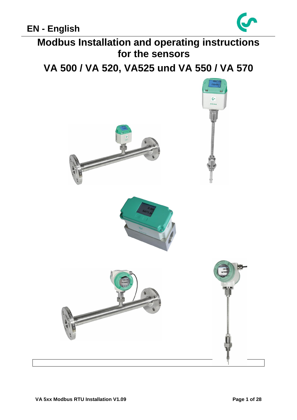

**Modbus Installation and operating instructions for the sensors**

**VA 500 / VA 520, VA525 und VA 550 / VA 570** 

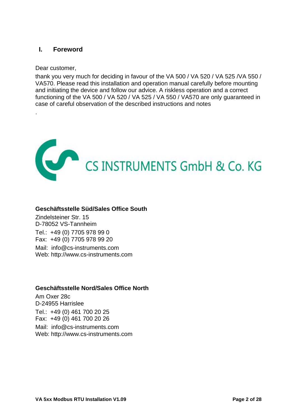## <span id="page-1-0"></span>**I. Foreword**

Dear customer,

.

thank you very much for deciding in favour of the VA 500 / VA 520 / VA 525 /VA 550 / VA570. Please read this installation and operation manual carefully before mounting and initiating the device and follow our advice. A riskless operation and a correct functioning of the VA 500 / VA 520 / VA 525 / VA 550 / VA570 are only guaranteed in case of careful observation of the described instructions and notes



## **Geschäftsstelle Süd/Sales Office South**

Zindelsteiner Str. 15 D-78052 VS-Tannheim Tel.: +49 (0) 7705 978 99 0 Fax: +49 (0) 7705 978 99 20 Mail: info@cs-instruments.com Web: http://www.cs-instruments.com

## **Geschäftsstelle Nord/Sales Office North**

Am Oxer 28c D-24955 Harrislee Tel.: +49 (0) 461 700 20 25 Fax: +49 (0) 461 700 20 26 Mail: info@cs-instruments.com Web: http://www.cs-instruments.com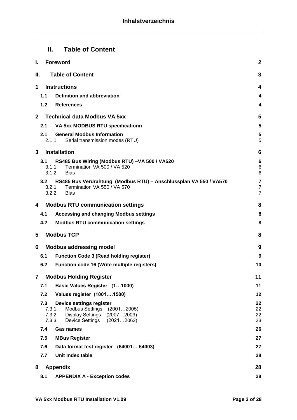# <span id="page-2-0"></span>**II. Table of Content**

| I.           | <b>Foreword</b>                                                                          | $\mathbf{2}$                       |
|--------------|------------------------------------------------------------------------------------------|------------------------------------|
| Н.           | <b>Table of Content</b>                                                                  | 3                                  |
| 1            | <b>Instructions</b>                                                                      | 4                                  |
|              | <b>Definition and abbreviation</b><br>1.1                                                | 4                                  |
|              | 1.2<br><b>References</b>                                                                 | 4                                  |
| $\mathbf{2}$ | <b>Technical data Modbus VA 5xx</b>                                                      | 5                                  |
|              | VA 5xx MODBUS RTU specificationn<br>2.1                                                  | 5                                  |
|              | 2.1<br><b>General Modbus Information</b>                                                 | 5                                  |
|              | 2.1.1<br>Serial transmission modes (RTU)                                                 | 5                                  |
| 3            | <b>Installation</b>                                                                      | 6                                  |
|              | RS485 Bus Wiring (Modbus RTU) - VA 500 / VA520<br>3.1                                    | $6\phantom{1}6$                    |
|              | Termination VA 500 / VA 520<br>3.1.1<br>3.1.2<br><b>Bias</b>                             | $6\phantom{1}6$<br>$6\phantom{1}6$ |
|              | RS485 Bus Verdrahtung (Modbus RTU) - Anschlussplan VA 550 / VA570<br>3.2                 | $\overline{\mathbf{7}}$            |
|              | Termination VA 550 / VA 570<br>3.2.1<br>3.2.2<br><b>Bias</b>                             | $\overline{7}$<br>$\overline{7}$   |
|              |                                                                                          |                                    |
| 4            | <b>Modbus RTU communication settings</b>                                                 | 8                                  |
|              | <b>Accessing and changing Modbus settings</b><br>4.1                                     | 8                                  |
|              | 4.2<br><b>Modbus RTU communication settings</b>                                          | 8                                  |
| 5            | <b>Modbus TCP</b>                                                                        | 8                                  |
| 6            | <b>Modbus addressing model</b>                                                           | 9                                  |
|              | <b>Function Code 3 (Read holding register)</b><br>6.1                                    | 9                                  |
|              | 6.2<br><b>Function code 16 (Write multiple registers)</b>                                | 10                                 |
| $\mathbf{7}$ | <b>Modbus Holding Register</b>                                                           | 11                                 |
|              | Basic Values Register (11000)<br>7.1                                                     | 11                                 |
|              | 7.2<br>Values register (10011500)                                                        | 12                                 |
|              | 7.3<br>Device settings register                                                          | 22                                 |
|              | Modbus Settings<br>7.3.1<br>(20012005)<br>7.3.2<br><b>Display Settings</b><br>(20072009) | 22<br>22                           |
|              | 7.3.3<br><b>Device Settings</b><br>(20212063)                                            | 23                                 |
|              | 7.4<br><b>Gas names</b>                                                                  | 26                                 |
|              | 7.5<br><b>MBus Register</b>                                                              | 27                                 |
|              | 7.6<br>Data format test register (64001 64003)                                           | 27                                 |
|              | 7.7<br>Unit Index table                                                                  | 28                                 |
| 8            | <b>Appendix</b>                                                                          | 28                                 |
|              | 8.1<br><b>APPENDIX A - Exception codes</b>                                               | 28                                 |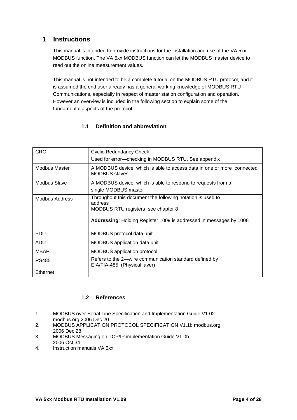# <span id="page-3-0"></span>**1 Instructions**

This manual is intended to provide instructions for the installation and use of the VA 5xx MODBUS function. The VA 5xx MODBUS function can let the MODBUS master device to read out the online measurement values.

This manual is not intended to be a complete tutorial on the MODBUS RTU protocol, and it is assumed the end user already has a general working knowledge of MODBUS RTU Communications, especially in respect of master station configuration and operation. However an overview is included in the following section to explain some of the fundamental aspects of the protocol.

### **1.1 Definition and abbreviation**

<span id="page-3-1"></span>

| <b>CRC</b>           | <b>Cyclic Redundancy Check</b>                                                                                                                                                    |
|----------------------|-----------------------------------------------------------------------------------------------------------------------------------------------------------------------------------|
|                      | Used for error-checking in MODBUS RTU. See appendix                                                                                                                               |
| <b>Modbus Master</b> | A MODBUS device, which is able to access data in one or more connected<br><b>MODBUS</b> slaves                                                                                    |
| <b>Modbus Slave</b>  | A MODBUS device, which is able to respond to requests from a<br>single MODBUS master                                                                                              |
| Modbus Address       | Throughout this document the following notation is used to<br>address<br>MODBUS RTU registers see chapter 8<br>Addressing: Holding Register 1009 is addressed in messages by 1008 |
| <b>PDU</b>           | MODBUS protocol data unit                                                                                                                                                         |
| <b>ADU</b>           | MODBUS application data unit                                                                                                                                                      |
| <b>MBAP</b>          | <b>MODBUS</b> application protocol                                                                                                                                                |
| RS485                | Refers to the 2-wire communication standard defined by<br>EIA/TIA-485. (Physical layer)                                                                                           |
| Ethernet             |                                                                                                                                                                                   |

### **1.2 References**

- <span id="page-3-2"></span>1. MODBUS over Serial Line Specification and Implementation Guide V1.02 modbus.org 2006 Dec 20
- 2. MODBUS APPLICATION PROTOCOL SPECIFICATION V1.1b modbus.org 2006 Dec 28
- 3. MODBUS Messaging on TCP/IP implementation Guide V1.0b 2006 Oct 34
- 4. Instruction manuals VA 5xx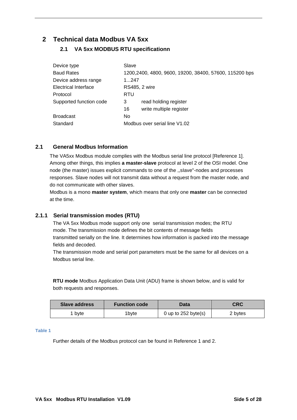# <span id="page-4-1"></span><span id="page-4-0"></span>**2 Technical data Modbus VA 5xx**

## **2.1 VA 5xx MODBUS RTU specificationn**

| Device type                 | Slave                                                  |
|-----------------------------|--------------------------------------------------------|
| <b>Baud Rates</b>           | 1200,2400, 4800, 9600, 19200, 38400, 57600, 115200 bps |
| Device address range        | 1247                                                   |
| <b>Electrical Interface</b> | <b>RS485, 2 wire</b>                                   |
| Protocol                    | <b>RTU</b>                                             |
| Supported function code     | read holding register<br>3                             |
|                             | write multiple register<br>16                          |
| <b>Broadcast</b>            | No.                                                    |
| Standard                    | Modbus over serial line V1.02                          |

### <span id="page-4-2"></span>**2.1 General Modbus Information**

The VA5xx Modbus module complies with the Modbus serial line protocol [Reference 1]. Among other things, this implies **a master-slave** protocol at level 2 of the OSI model. One node (the master) issues explicit commands to one of the ,,sIave"-nodes and processes responses. Slave nodes will not transmit data without a request from the master node, and do not communicate with other slaves.

Modbus is a mono **master system**, which means that only one **master** can be connected at the time.

### <span id="page-4-3"></span>**2.1.1 Serial transmission modes (RTU)**

The VA 5xx Modbus mode support only one serial transmission modes; the RTU mode. The transmission mode defines the bit contents of message fields transmitted serially on the line. It determines how information is packed into the message fields and decoded.

The transmission mode and serial port parameters must be the same for all devices on a Modbus serial line.

**RTU mode** Modbus Application Data Unit (ADU) frame is shown below, and is valid for both requests and responses.

| Slave address | <b>Function code</b> |                       | CRC     |
|---------------|----------------------|-----------------------|---------|
| bvte          | 'byte                | 0 up to $252$ byte(s) | 2 bytes |

#### **Table 1**

Further details of the Modbus protocol can be found in Reference 1 and 2.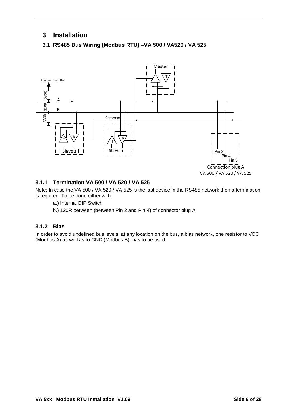# <span id="page-5-0"></span>**3 Installation**

### <span id="page-5-1"></span>**3.1 RS485 Bus Wiring (Modbus RTU) –VA 500 / VA520 / VA 525**



### <span id="page-5-2"></span>**3.1.1 Termination VA 500 / VA 520 / VA 525**

Note: In case the VA 500 / VA 520 / VA 525 is the last device in the RS485 network then a termination is required. To be done either with

- a.) Internal DIP Switch
- b.) 120R between (between Pin 2 and Pin 4) of connector plug A

### <span id="page-5-3"></span>**3.1.2 Bias**

In order to avoid undefined bus levels, at any location on the bus, a bias network, one resistor to VCC (Modbus A) as well as to GND (Modbus B), has to be used.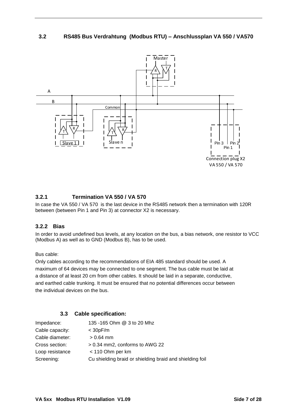### <span id="page-6-0"></span>**3.2 RS485 Bus Verdrahtung (Modbus RTU) – Anschlussplan VA 550 / VA570**



### <span id="page-6-1"></span>**3.2.1 Termination VA 550 / VA 570**

In case the VA 550 / VA 570 is the last device in the RS485 network then a termination with 120R between (between Pin 1 and Pin 3) at connector X2 is necessary.

### <span id="page-6-2"></span>**3.2.2 Bias**

In order to avoid undefined bus levels, at any location on the bus, a bias network, one resistor to VCC (Modbus A) as well as to GND (Modbus B), has to be used.

#### Bus cable:

Only cables according to the recommendations of EIA 485 standard should be used. A maximum of 64 devices may be connected to one segment. The bus cable must be laid at a distance of at least 20 cm from other cables. It should be laid in a separate, conductive, and earthed cable trunking. It must be ensured that no potential differences occur between the individual devices on the bus.

#### **3.3 Cable specification:**

| Impedance:      | 135 - 165 Ohm @ 3 to 20 Mhz                              |
|-----------------|----------------------------------------------------------|
| Cable capacity: | $<$ 30pF/m                                               |
| Cable diameter: | $> 0.64$ mm                                              |
| Cross section:  | > 0.34 mm2, conforms to AWG 22                           |
| Loop resistance | < 110 Ohm per km                                         |
| Screening:      | Cu shielding braid or shielding braid and shielding foil |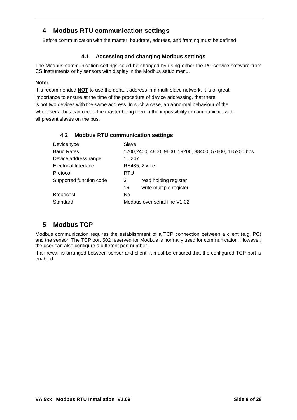# <span id="page-7-0"></span>**4 Modbus RTU communication settings**

Before communication with the master, baudrate, address, and framing must be defined

### **4.1 Accessing and changing Modbus settings**

<span id="page-7-1"></span>The Modbus communication settings could be changed by using either the PC service software from CS Instruments or by sensors with display in the Modbus setup menu.

#### **Note:**

It is recommended **NOT** to use the default address in a multi-slave network. It is of great importance to ensure at the time of the procedure of device addressing, that there is not two devices with the same address. In such a case, an abnormal behaviour of the whole serial bus can occur, the master being then in the impossibility to communicate with all present slaves on the bus.

<span id="page-7-2"></span>

| Device type             | Slave                                                   |
|-------------------------|---------------------------------------------------------|
| <b>Baud Rates</b>       | 1200, 2400, 4800, 9600, 19200, 38400, 57600, 115200 bps |
| Device address range    | 1247                                                    |
| Electrical Interface    | <b>RS485, 2 wire</b>                                    |
| Protocol                | RTU                                                     |
| Supported function code | 3<br>read holding register                              |
|                         | write multiple register<br>16                           |
| <b>Broadcast</b>        | No.                                                     |
| Standard                | Modbus over serial line V1.02                           |

### **4.2 Modbus RTU communication settings**

# <span id="page-7-3"></span>**5 Modbus TCP**

Modbus communication requires the establishment of a TCP connection between a client (e.g. PC) and the sensor. The TCP port 502 reserved for Modbus is normally used for communication. However, the user can also configure a different port number.

If a firewall is arranged between sensor and client, it must be ensured that the configured TCP port is enabled.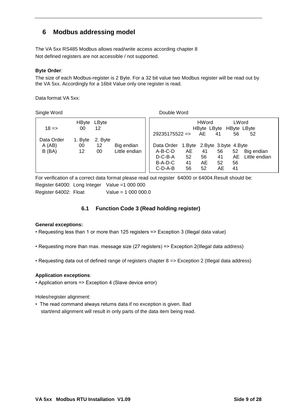# <span id="page-8-0"></span>**6 Modbus addressing model**

The VA 5xx RS485 Modbus allows read/write access according chapter 8 Not defined registers are not accessible / not supported.

#### **Byte Order**:

The size of each Modbus-register is 2 Byte. For a 32 bit value two Modbus register will be read out by the VA 5xx. Accordingly for a 16bit Value only one register is read.

Data format VA 5xx:

Single Word **Double Word** 

| $18 =$     | 00      | HByte LByte<br>12 |               |                 |                                 | <b>HWord</b><br>HByte LByte HByte LByte |    | LWord |               |
|------------|---------|-------------------|---------------|-----------------|---------------------------------|-----------------------------------------|----|-------|---------------|
| Data Order | 1. Byte | 2. Byte           |               | $29235175522 =$ |                                 | AE                                      | 41 | 56    | 52            |
| A(AB)      | 00      | $12 \,$           | Big endian    | Data Order      | 1. Byte 2. Byte 3. byte 4. Byte |                                         |    |       |               |
| B(BA)      | 12      | 00                | Little endian | A-B-C-D         | AE                              | 41                                      | 56 | 52    | Big endian    |
|            |         |                   |               | $D-C-B-A$       | 52                              | 56                                      | 41 | AE.   | Little endian |
|            |         |                   |               | B-A-D-C         | 41                              | AE                                      | 52 | 56    |               |
|            |         |                   |               | $C-D-A-B$       | 56                              | 52                                      | AE | 41    |               |

For verification of a correct data format please read out register 64000 or 64004.Result should be: Register 64000: Long Integer Value =1 000 000 Register 64002: Float Value = 1 000 000.0

### **6.1 Function Code 3 (Read holding register)**

#### <span id="page-8-1"></span>**General exceptions:**

- Requesting less than 1 or more than 125 registers => Exception 3 (Illegal data value)
- Requesting more than max. message size (27 registers) => Exception 2(Illegal data address)
- Requesting data out of defined range of registers chapter 8 => Exception 2 (Illegal data address)

#### **Application exceptions**:

• Application errors => Exception 4 (Slave device error)

Holes/register alignment:

• The read command always returns data if no exception is given. Bad start/end alignment will result in only parts of the data item being read.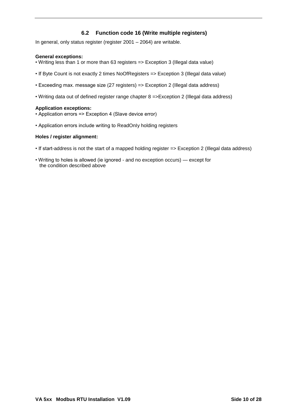### **6.2 Function code 16 (Write multiple registers)**

<span id="page-9-0"></span>In general, only status register (register 2001 – 2064) are writable.

#### **General exceptions:**

- Writing less than 1 or more than 63 registers => Exception 3 (Illegal data value)
- If Byte Count is not exactly 2 times NoOfRegisters => Exception 3 (Illegal data value)
- Exceeding max. message size (27 registers) => Exception 2 (Illegal data address)
- Writing data out of defined register range chapter 8 =>Exception 2 (Illegal data address)

#### **Application exceptions:**

- Application errors => Exception 4 (Slave device error)
- Application errors include writing to ReadOnIy holding registers

#### **Holes / register alignment:**

- If start-address is not the start of a mapped holding register => Exception 2 (Illegal data address)
- Writing to holes is allowed (ie ignored and no exception occurs) except for the condition described above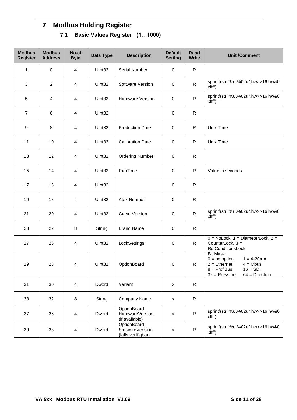# <span id="page-10-1"></span><span id="page-10-0"></span>**7 Modbus Holding Register 7.1 Basic Values Register (1…1000)**

| <b>Modbus</b><br><b>Register</b> | <b>Modbus</b><br><b>Address</b> | No.of<br><b>Byte</b>    | Data Type          | <b>Description</b>                                   | <b>Default</b><br><b>Setting</b> | <b>Read</b><br><b>Write</b> | <b>Unit /Comment</b>                                                                                                                                        |
|----------------------------------|---------------------------------|-------------------------|--------------------|------------------------------------------------------|----------------------------------|-----------------------------|-------------------------------------------------------------------------------------------------------------------------------------------------------------|
| 1                                | $\mathbf 0$                     | $\overline{\mathbf{4}}$ | UInt32             | Serial Number                                        | 0                                | $\mathsf{R}$                |                                                                                                                                                             |
| 3                                | $\overline{2}$                  | $\overline{\mathbf{4}}$ | Ulnt32             | Software Version                                     | 0                                | R.                          | sprintf(str,"%u.%02u",hw>>16,hw&0<br>$x$ ffff $)$ ;                                                                                                         |
| 5                                | $\overline{4}$                  | 4                       | Ulnt32             | <b>Hardware Version</b>                              | 0                                | R                           | sprintf(str,"%u.%02u",hw>>16,hw&0<br>xffff);                                                                                                                |
| $\overline{7}$                   | 6                               | $\overline{\mathbf{4}}$ | Ulnt32             |                                                      | 0                                | $\mathsf{R}$                |                                                                                                                                                             |
| 9                                | 8                               | $\overline{\mathbf{4}}$ | Ulnt <sub>32</sub> | <b>Production Date</b>                               | 0                                | R                           | Unix Time                                                                                                                                                   |
| 11                               | 10                              | 4                       | UInt32             | <b>Calibration Date</b>                              | 0                                | $\mathsf{R}$                | Unix Time                                                                                                                                                   |
| 13                               | 12                              | $\overline{\mathbf{4}}$ | Ulnt32             | <b>Ordering Number</b>                               | $\pmb{0}$                        | R                           |                                                                                                                                                             |
| 15                               | 14                              | 4                       | Ulnt32             | RunTime                                              | 0                                | R                           | Value in seconds                                                                                                                                            |
| 17                               | 16                              | 4                       | Ulnt32             |                                                      | 0                                | $\mathsf{R}$                |                                                                                                                                                             |
| 19                               | 18                              | $\overline{\mathbf{4}}$ | Ulnt32             | <b>Atex Number</b>                                   | 0                                | R                           |                                                                                                                                                             |
| 21                               | 20                              | 4                       | UInt32             | <b>Curve Version</b>                                 | 0                                | $\mathsf{R}$                | sprintf(str,"%u.%02u",hw>>16,hw&0<br>xffff);                                                                                                                |
| 23                               | 22                              | 8                       | String             | <b>Brand Name</b>                                    | 0                                | $\mathsf{R}$                |                                                                                                                                                             |
| 27                               | 26                              | 4                       | Ulnt32             | LockSettings                                         | 0                                | $\mathsf{R}$                | $0 = \text{NoLock}, 1 = \text{DiameterLock}, 2 = \text{A}$<br>CounterLock, $3 =$<br>RefConditionsLock                                                       |
| 29                               | 28                              | 4                       | UInt32             | OptionBoard                                          | 0                                | R                           | <b>Bit Mask</b><br>$0 = no$ option<br>$1 = 4 - 20mA$<br>$2 =$ Ethernet<br>$4 = Mbus$<br>$8 =$ ProfiBus<br>$16 = SDI$<br>$32$ = Pressure<br>$64 =$ Direction |
| 31                               | 30                              | $\overline{4}$          | Dword              | Variant                                              | x                                | $\mathsf{R}$                |                                                                                                                                                             |
| 33                               | 32                              | 8                       | String             | Company Name                                         | $\pmb{\mathsf{x}}$               | $\mathsf{R}$                |                                                                                                                                                             |
| 37                               | 36                              | $\overline{\mathbf{4}}$ | Dword              | OptionBoard<br>HardwareVersion<br>(if available)     | $\pmb{\mathsf{x}}$               | $\mathsf{R}$                | sprintf(str,"%u.%02u",hw>>16,hw&0<br>xffff);                                                                                                                |
| 39                               | 38                              | $\overline{4}$          | Dword              | OptionBoard<br>SoftwareVerision<br>(falls verfügbar) | x                                | $\mathsf{R}$                | sprintf(str,"%u.%02u",hw>>16,hw&0<br>xffff);                                                                                                                |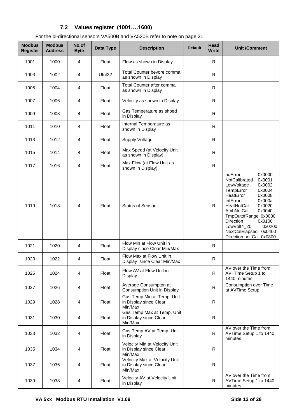# **7.2 Values register (1001….1600)**

<span id="page-11-0"></span>

| For the bi-directional sensors VA500B and VA520B refer to note on page 21. |
|----------------------------------------------------------------------------|
|----------------------------------------------------------------------------|

| <b>Modbus</b><br><b>Register</b> | <b>Modbus</b><br><b>Address</b> | No.of<br><b>Byte</b> | Data Type | <b>Description</b>                                                 | <b>Default</b> | <b>Read</b><br><b>Write</b> | <b>Unit /Comment</b>                                                                                                                                                                                                                                                                                                        |
|----------------------------------|---------------------------------|----------------------|-----------|--------------------------------------------------------------------|----------------|-----------------------------|-----------------------------------------------------------------------------------------------------------------------------------------------------------------------------------------------------------------------------------------------------------------------------------------------------------------------------|
| 1001                             | 1000                            | 4                    | Float     | Flow as shown in Display                                           |                | R                           |                                                                                                                                                                                                                                                                                                                             |
| 1003                             | 1002                            | 4                    | UInt32    | Total Counter bevore comma<br>as shown in Display                  |                | $\mathsf{R}$                |                                                                                                                                                                                                                                                                                                                             |
| 1005                             | 1004                            | 4                    | Float     | Total Counter after comma<br>as shown in Display                   |                | R                           |                                                                                                                                                                                                                                                                                                                             |
| 1007                             | 1006                            | 4                    | Float     | Velocity as shown in Display                                       |                | $\mathsf{R}$                |                                                                                                                                                                                                                                                                                                                             |
| 1009                             | 1008                            | 4                    | Float     | Gas Temperature as shoed<br>in Display                             |                | $\mathsf{R}$                |                                                                                                                                                                                                                                                                                                                             |
| 1011                             | 1010                            | 4                    | Float     | Internal Temperature as<br>shown in Display                        |                | R                           |                                                                                                                                                                                                                                                                                                                             |
| 1013                             | 1012                            | 4                    | Float     | <b>Supply Voltage</b>                                              |                | R                           |                                                                                                                                                                                                                                                                                                                             |
| 1015                             | 1014                            | 4                    | Float     | Max Speed (at Velocity Unit<br>as shown in Display)                |                | $\mathsf{R}$                |                                                                                                                                                                                                                                                                                                                             |
| 1017                             | 1016                            | 4                    | Float     | Max Flow (at Flow Unit as<br>shown in Display)                     |                | $\mathsf{R}$                |                                                                                                                                                                                                                                                                                                                             |
| 1019                             | 1018                            | 4                    | Float     | <b>Status of Sensor</b>                                            |                | R.                          | noError<br>0x0000<br>0x0001<br>NotCalibrated<br>LowVoltage<br>0x0002<br>0x0004<br>TempError<br>0x0008<br>HeatError<br>0x000a<br>IntError<br>0x0020<br><b>HeatNotCal</b><br>0x0040<br>AmbNotCal<br>TmpOutofRange 0x0080<br>Direction<br>0x0100<br>LowVolt4_20<br>0x0200<br>NextCalElapsed 0x0400<br>Direction not Cal 0x0800 |
| 1021                             | 1020                            | 4                    | Float     | Flow Min at Flow Unit in<br>Display since Clear Min/Max            |                | R                           |                                                                                                                                                                                                                                                                                                                             |
| 1023                             | 1022                            | 4                    | Float     | Flow Max at Flow Unit in<br>Display since Clear Min/Max            |                | R                           |                                                                                                                                                                                                                                                                                                                             |
| 1025                             | 1024                            | 4                    | Float     | Flow AV at Flow Unit in<br>Display                                 |                | R                           | AV over the Time from<br>AV Time Setup 1 to<br>1440 minutes                                                                                                                                                                                                                                                                 |
| 1027                             | 1026                            | 4                    | Float     | Average Consumpton at<br>Consumption Unit in Display               |                | $\mathsf{R}$                | Consumption over Time<br>at AVTime Setup                                                                                                                                                                                                                                                                                    |
| 1029                             | 1028                            | 4                    | Float     | Gas Temp Min at Temp. Unit<br>in Display since Clear<br>Min/Max    |                | R                           |                                                                                                                                                                                                                                                                                                                             |
| 1031                             | 1030                            | 4                    | Float     | Gas Temp Max at Temp. Unit<br>in Display since Clear<br>Min/Max    |                | R                           |                                                                                                                                                                                                                                                                                                                             |
| 1033                             | 1032                            | $\overline{4}$       | Float     | Gas Temp AV at Temp. Unit<br>in Display                            |                | $\mathsf{R}$                | AV over the Time from<br>AVTime Setup 1 to 1440<br>minutes                                                                                                                                                                                                                                                                  |
| 1035                             | 1034                            | 4                    | Float     | Velocity Min at Velocity Unit<br>in Display since Clear<br>Min/Max |                | R                           |                                                                                                                                                                                                                                                                                                                             |
| 1037                             | 1036                            | 4                    | Float     | Velocity Max at Velocity Unit<br>in Display since Clear<br>Min/Max |                | R                           |                                                                                                                                                                                                                                                                                                                             |
| 1039                             | 1038                            | 4                    | Float     | Velocity AV at Velocity Unit<br>in Display                         |                | R                           | AV over the Time from<br>AVTime Setup 1 to 1440<br>minutes                                                                                                                                                                                                                                                                  |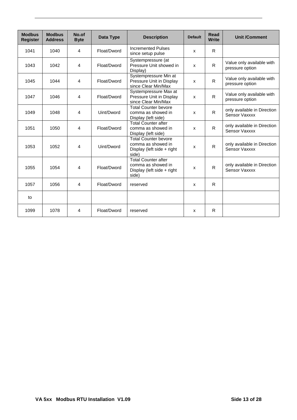| <b>Modbus</b><br><b>Register</b> | <b>Modbus</b><br><b>Address</b> | No.of<br><b>Byte</b> | Data Type   | <b>Description</b>                                                                       | <b>Default</b>            | Read<br><b>Write</b> | <b>Unit /Comment</b>                         |
|----------------------------------|---------------------------------|----------------------|-------------|------------------------------------------------------------------------------------------|---------------------------|----------------------|----------------------------------------------|
| 1041                             | 1040                            | 4                    | Float/Dword | <b>Incremented Pulses</b><br>since setup pulse                                           | X                         | R.                   |                                              |
| 1043                             | 1042                            | 4                    | Float/Dword | Systempressure (at<br>Pressure Unit showed in<br>Display)                                | X                         | $\mathsf{R}$         | Value only available with<br>pressure option |
| 1045                             | 1044                            | $\overline{4}$       | Float/Dword | Systempressure Min at<br>Pressure Unit in Display<br>since Clear Min/Max                 | X                         | R                    | Value only available with<br>pressure option |
| 1047                             | 1046                            | 4                    | Float/Dword | Systempressure Max at<br>Pressure Unit in Display<br>since Clear Min/Max                 | X                         | R                    | Value only available with<br>pressure option |
| 1049                             | 1048                            | 4                    | Uint/Dword  | <b>Total Counter bevore</b><br>comma as showed in<br>Display (left side)                 | $\mathsf{x}$              | $\mathsf{R}$         | only available in Direction<br>Sensor Vaxxxx |
| 1051                             | 1050                            | 4                    | Float/Dword | <b>Total Counter after</b><br>comma as showed in<br>Display (left side)                  | $\boldsymbol{\mathsf{x}}$ | R.                   | only available in Direction<br>Sensor Vaxxxx |
| 1053                             | 1052                            | $\overline{4}$       | Uint/Dword  | <b>Total Counter bevore</b><br>comma as showed in<br>Display (left side + right<br>side) | $\boldsymbol{\mathsf{x}}$ | $\mathsf{R}$         | only available in Direction<br>Sensor Vaxxxx |
| 1055                             | 1054                            | $\overline{4}$       | Float/Dword | <b>Total Counter after</b><br>comma as showed in<br>Display (left side + right<br>side)  | $\boldsymbol{\mathsf{x}}$ | $\mathsf{R}$         | only available in Direction<br>Sensor Vaxxxx |
| 1057                             | 1056                            | 4                    | Float/Dword | reserved                                                                                 | X                         | R                    |                                              |
| to                               |                                 |                      |             |                                                                                          |                           |                      |                                              |
| 1099                             | 1078                            | 4                    | Float/Dword | reserved                                                                                 | X                         | R                    |                                              |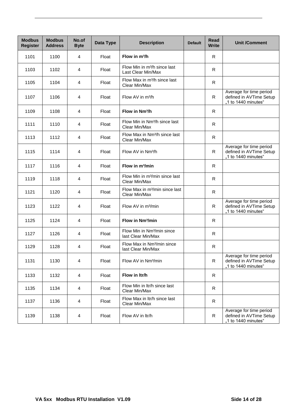| <b>Modbus</b><br><b>Register</b> | <b>Modbus</b><br><b>Address</b> | No.of<br><b>Byte</b>    | Data Type | <b>Description</b>                                             | <b>Default</b> | <b>Read</b><br><b>Write</b> | <b>Unit /Comment</b>                                                      |
|----------------------------------|---------------------------------|-------------------------|-----------|----------------------------------------------------------------|----------------|-----------------------------|---------------------------------------------------------------------------|
| 1101                             | 1100                            | 4                       | Float     | Flow in $m^3/h$                                                |                | $\mathsf{R}$                |                                                                           |
| 1103                             | 1102                            | 4                       | Float     | Flow Min in m <sup>3</sup> /h since last<br>Last Clear Min/Max |                | R                           |                                                                           |
| 1105                             | 1104                            | 4                       | Float     | Flow Max in m <sup>3</sup> /h since last<br>Clear Min/Max      |                | $\mathsf{R}$                |                                                                           |
| 1107                             | 1106                            | 4                       | Float     | Flow AV in m <sup>3</sup> /h                                   |                | $\mathsf{R}$                | Average for time period<br>defined in AVTime Setup<br>"1 to 1440 minutes" |
| 1109                             | 1108                            | 4                       | Float     | Flow in Nm <sup>3</sup> /h                                     |                | R.                          |                                                                           |
| 1111                             | 1110                            | 4                       | Float     | Flow Min in Nm <sup>3</sup> /h since last<br>Clear Min/Max     |                | ${\sf R}$                   |                                                                           |
| 1113                             | 1112                            | 4                       | Float     | Flow Max in Nm <sup>3</sup> /h since last<br>Clear Min/Max     |                | $\mathsf{R}$                |                                                                           |
| 1115                             | 1114                            | 4                       | Float     | Flow AV in Nm <sup>3</sup> /h                                  |                | R                           | Average for time period<br>defined in AVTime Setup<br>"1 to 1440 minutes" |
| 1117                             | 1116                            | 4                       | Float     | Flow in m <sup>3</sup> /min                                    |                | R                           |                                                                           |
| 1119                             | 1118                            | 4                       | Float     | Flow Min in m <sup>3</sup> /min since last<br>Clear Min/Max    |                | R                           |                                                                           |
| 1121                             | 1120                            | 4                       | Float     | Flow Max in m <sup>3</sup> /min since last<br>Clear Min/Max    |                | R                           |                                                                           |
| 1123                             | 1122                            | 4                       | Float     | Flow AV in m <sup>3</sup> /min                                 |                | R                           | Average for time period<br>defined in AVTime Setup<br>"1 to 1440 minutes" |
| 1125                             | 1124                            | 4                       | Float     | Flow in Nm <sup>3</sup> /min                                   |                | R                           |                                                                           |
| 1127                             | 1126                            | 4                       | Float     | Flow Min in Nm <sup>3</sup> /min since<br>last Clear Min/Max   |                | R.                          |                                                                           |
| 1129                             | 1128                            | 4                       | Float     | Flow Max in Nm <sup>3</sup> /min since<br>last Clear Min/Max   |                | R                           |                                                                           |
| 1131                             | 1130                            | $\overline{\mathbf{4}}$ | Float     | Flow AV in Nm <sup>3</sup> /min                                |                | R                           | Average for time period<br>defined in AVTime Setup<br>"1 to 1440 minutes" |
| 1133                             | 1132                            | 4                       | Float     | Flow in Itr/h                                                  |                | R                           |                                                                           |
| 1135                             | 1134                            | $\overline{\mathbf{4}}$ | Float     | Flow Min in Itr/h since last<br>Clear Min/Max                  |                | $\mathsf{R}$                |                                                                           |
| 1137                             | 1136                            | 4                       | Float     | Flow Max in Itr/h since last<br>Clear Min/Max                  |                | $\mathsf{R}$                |                                                                           |
| 1139                             | 1138                            | 4                       | Float     | Flow AV in ltr/h                                               |                | R                           | Average for time period<br>defined in AVTime Setup<br>"1 to 1440 minutes" |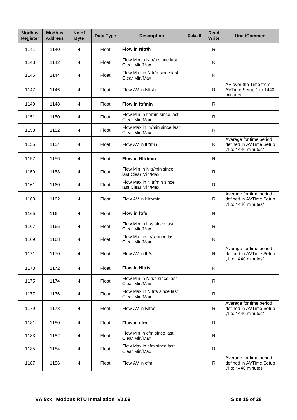| <b>Modbus</b><br><b>Register</b> | <b>Modbus</b><br><b>Address</b> | No.of<br><b>Byte</b>    | Data Type | <b>Description</b>                               | <b>Default</b> | Read<br><b>Write</b> | <b>Unit /Comment</b>                                                      |
|----------------------------------|---------------------------------|-------------------------|-----------|--------------------------------------------------|----------------|----------------------|---------------------------------------------------------------------------|
| 1141                             | 1140                            | 4                       | Float     | Flow in Nitr/h                                   |                | R                    |                                                                           |
| 1143                             | 1142                            | 4                       | Float     | Flow Min in Nltr/h since last<br>Clear Min/Max   |                | R                    |                                                                           |
| 1145                             | 1144                            | 4                       | Float     | Flow Max in Nitr/h since last<br>Clear Min/Max   |                | R                    |                                                                           |
| 1147                             | 1146                            | 4                       | Float     | Flow AV in Nltr/h                                |                | R                    | AV over the Time from<br>AVTime Setup 1 to 1440<br>minutes                |
| 1149                             | 1148                            | $\overline{4}$          | Float     | Flow in Itr/min                                  |                | R                    |                                                                           |
| 1151                             | 1150                            | 4                       | Float     | Flow Min in Itr/min since last<br>Clear Min/Max  |                | R.                   |                                                                           |
| 1153                             | 1152                            | $\overline{4}$          | Float     | Flow Max in Itr/min since last<br>Clear Min/Max  |                | R                    |                                                                           |
| 1155                             | 1154                            | $\overline{4}$          | Float     | Flow AV in Itr/min                               |                | R.                   | Average for time period<br>defined in AVTime Setup<br>"1 to 1440 minutes" |
| 1157                             | 1156                            | 4                       | Float     | <b>Flow in Nitr/min</b>                          |                | R.                   |                                                                           |
| 1159                             | 1158                            | 4                       | Float     | Flow Min in Nltr/min since<br>last Clear Min/Max |                |                      |                                                                           |
| 1161                             | 1160                            | $\overline{4}$          | Float     | Flow Max in Nltr/min since<br>last Clear Min/Max |                |                      |                                                                           |
| 1163                             | 1162                            | 4                       | Float     | Flow AV in Nltr/min                              | R              |                      | Average for time period<br>defined in AVTime Setup<br>"1 to 1440 minutes" |
| 1165                             | 1164                            | 4                       | Float     | Flow in Itr/s                                    |                | R                    |                                                                           |
| 1167                             | 1166                            | 4                       | Float     | Flow Min in Itr/s since last<br>Clear Min/Max    |                | R                    |                                                                           |
| 1169                             | 1168                            | 4                       | Float     | Flow Max in Itr/s since last<br>Clear Min/Max    |                | $\mathsf{R}$         |                                                                           |
| 1171                             | 1170                            | $\overline{4}$          | Float     | Flow AV in Itr/s                                 |                | $\mathsf{R}$         | Average for time period<br>defined in AVTime Setup<br>"1 to 1440 minutes" |
| 1173                             | 1172                            | 4                       | Float     | Flow in Nitr/s                                   |                | $\mathsf{R}$         |                                                                           |
| 1175                             | 1174                            | $\overline{4}$          | Float     | Flow Min in Nltr/s since last<br>Clear Min/Max   |                | $\mathsf{R}$         |                                                                           |
| 1177                             | 1176                            | $\overline{\mathbf{4}}$ | Float     | Flow Max in Nltr/s since last<br>Clear Min/Max   |                | R                    |                                                                           |
| 1179                             | 1178                            | 4                       | Float     | Flow AV in Nltr/s                                |                | R                    | Average for time period<br>defined in AVTime Setup<br>"1 to 1440 minutes" |
| 1181                             | 1180                            | 4                       | Float     | Flow in cfm                                      |                | R                    |                                                                           |
| 1183                             | 1182                            | 4                       | Float     | Flow Min in cfm since last<br>Clear Min/Max      |                | R                    |                                                                           |
| 1185                             | 1184                            | $\overline{4}$          | Float     | Flow Max in cfm since last<br>Clear Min/Max      |                | R                    |                                                                           |
| 1187                             | 1186                            | 4                       | Float     | Flow AV in cfm                                   |                | R                    | Average for time period<br>defined in AVTime Setup<br>"1 to 1440 minutes" |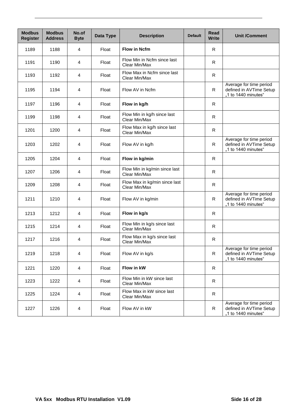| <b>Modbus</b><br><b>Register</b> | <b>Modbus</b><br><b>Address</b> | No.of<br><b>Byte</b> | Data Type | <b>Description</b>                             | <b>Default</b> | Read<br><b>Write</b> | <b>Unit /Comment</b>                                                      |
|----------------------------------|---------------------------------|----------------------|-----------|------------------------------------------------|----------------|----------------------|---------------------------------------------------------------------------|
| 1189                             | 1188                            | $\overline{4}$       | Float     | <b>Flow in Ncfm</b>                            |                | R                    |                                                                           |
| 1191                             | 1190                            | 4                    | Float     | Flow Min in Ncfm since last<br>Clear Min/Max   |                | $\mathsf{R}$         |                                                                           |
| 1193                             | 1192                            | $\overline{4}$       | Float     | Flow Max in Ncfm since last<br>Clear Min/Max   |                | R                    |                                                                           |
| 1195                             | 1194                            | $\overline{4}$       | Float     | Flow AV in Ncfm                                |                | $\mathsf{R}$         | Average for time period<br>defined in AVTime Setup<br>"1 to 1440 minutes" |
| 1197                             | 1196                            | $\overline{4}$       | Float     | Flow in kg/h                                   |                | R                    |                                                                           |
| 1199                             | 1198                            | 4                    | Float     | Flow Min in kg/h since last<br>Clear Min/Max   |                | R                    |                                                                           |
| 1201                             | 1200                            | 4                    | Float     | Flow Max in kg/h since last<br>Clear Min/Max   |                | R                    |                                                                           |
| 1203                             | 1202                            | $\overline{4}$       | Float     | Flow AV in kg/h                                |                | R                    | Average for time period<br>defined in AVTime Setup<br>"1 to 1440 minutes" |
| 1205                             | 1204                            | 4                    | Float     | Flow in kg/min                                 |                | R.                   |                                                                           |
| 1207                             | 1206                            | 4                    | Float     | Flow Min in kg/min since last<br>Clear Min/Max |                | R                    |                                                                           |
| 1209                             | 1208                            | 4                    | Float     | Flow Max in kg/min since last<br>Clear Min/Max |                | R                    |                                                                           |
| 1211                             | 1210                            | 4                    | Float     | Flow AV in kg/min                              |                | $\mathsf{R}$         | Average for time period<br>defined in AVTime Setup<br>"1 to 1440 minutes" |
| 1213                             | 1212                            | 4                    | Float     | Flow in kg/s                                   |                | R                    |                                                                           |
| 1215                             | 1214                            | 4                    | Float     | Flow Min in kg/s since last<br>Clear Min/Max   |                | R                    |                                                                           |
| 1217                             | 1216                            | 4                    | Float     | Flow Max in kg/s since last<br>Clear Min/Max   |                | $\mathsf{R}$         |                                                                           |
| 1219                             | 1218                            | $\overline{4}$       | Float     | Flow AV in kg/s                                |                | $\mathsf{R}$         | Average for time period<br>defined in AVTime Setup<br>"1 to 1440 minutes" |
| 1221                             | 1220                            | 4                    | Float     | Flow in kW                                     |                | $\mathsf{R}$         |                                                                           |
| 1223                             | 1222                            | 4                    | Float     | Flow Min in kW since last<br>Clear Min/Max     |                |                      |                                                                           |
| 1225                             | 1224                            | 4                    | Float     | Flow Max in kW since last<br>Clear Min/Max     |                |                      |                                                                           |
| 1227                             | 1226                            | 4                    | Float     | Flow AV in kW                                  |                | R                    | Average for time period<br>defined in AVTime Setup<br>"1 to 1440 minutes" |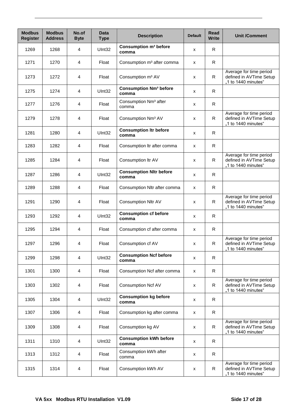| <b>Modbus</b><br><b>Register</b> | <b>Modbus</b><br><b>Address</b> | No.of<br><b>Byte</b> | <b>Data</b><br><b>Type</b> | <b>Description</b>                                | <b>Default</b> | Read<br><b>Write</b> | <b>Unit /Comment</b>                                                      |
|----------------------------------|---------------------------------|----------------------|----------------------------|---------------------------------------------------|----------------|----------------------|---------------------------------------------------------------------------|
| 1269                             | 1268                            | 4                    | UInt32                     | Consumption m <sup>3</sup> before<br>comma        | х              | R                    |                                                                           |
| 1271                             | 1270                            | 4                    | Float                      | Consumption m <sup>3</sup> after comma            | X              | R.                   |                                                                           |
| 1273                             | 1272                            | 4                    | Float                      | Consumption m <sup>3</sup> AV                     | X              | R.                   | Average for time period<br>defined in AVTime Setup<br>"1 to 1440 minutes" |
| 1275                             | 1274                            | 4                    | UInt32                     | <b>Consumption Nm<sup>3</sup> before</b><br>comma | X              | $\mathsf{R}$         |                                                                           |
| 1277                             | 1276                            | 4                    | Float                      | Consumption Nm <sup>3</sup> after<br>comma        | х              | R                    |                                                                           |
| 1279                             | 1278                            | 4                    | Float                      | Consumption Nm <sup>3</sup> AV                    | X              | R                    | Average for time period<br>defined in AVTime Setup<br>"1 to 1440 minutes" |
| 1281                             | 1280                            | 4                    | UInt32                     | <b>Consumption Itr before</b><br>comma            | X              | R                    |                                                                           |
| 1283                             | 1282                            | 4                    | Float                      | Consumption Itr after comma                       | X              | R.                   |                                                                           |
| 1285                             | 1284                            | 4                    | Float                      | Consumption Itr AV                                | х              | R                    | Average for time period<br>defined in AVTime Setup<br>"1 to 1440 minutes" |
| 1287                             | 1286                            | 4                    | UInt32                     | <b>Consumption Nltr before</b><br>comma           | X              | R                    |                                                                           |
| 1289                             | 1288                            | 4                    | Float                      | Consumption Nltr after comma<br>X                 |                | R.                   |                                                                           |
| 1291                             | 1290                            | 4                    | Float                      | Consumption Nltr AV                               | X              | R.                   | Average for time period<br>defined in AVTime Setup<br>"1 to 1440 minutes" |
| 1293                             | 1292                            | 4                    | UInt32                     | <b>Consumption cf before</b><br>comma             | х              | R                    |                                                                           |
| 1295                             | 1294                            | 4                    | Float                      | Consumption cf after comma                        | X              | R                    |                                                                           |
| 1297                             | 1296                            | 4                    | Float                      | Consumption cf AV                                 | X              | R                    | Average for time period<br>defined in AVTime Setup<br>1 to 1440 minutes"  |
| 1299                             | 1298                            | 4                    | UInt32                     | <b>Consumption Ncf before</b><br>comma            | X              | R                    |                                                                           |
| 1301                             | 1300                            | 4                    | Float                      | Consumption Ncf after comma                       | X              | $\mathsf{R}$         |                                                                           |
| 1303                             | 1302                            | 4                    | Float                      | Consumption Ncf AV                                | X              | $\mathsf{R}$         | Average for time period<br>defined in AVTime Setup<br>"1 to 1440 minutes" |
| 1305                             | 1304                            | 4                    | UInt32                     | <b>Consumption kg before</b><br>comma             | X              | R                    |                                                                           |
| 1307                             | 1306                            | 4                    | Float                      | Consumption kg after comma                        | X              | R.                   |                                                                           |
| 1309                             | 1308                            | 4                    | Float                      | Consumption kg AV                                 | х              | R                    | Average for time period<br>defined in AVTime Setup<br>"1 to 1440 minutes" |
| 1311                             | 1310                            | 4                    | UInt32                     | <b>Consumption kWh before</b><br>comma            | X              | R                    |                                                                           |
| 1313                             | 1312                            | $\overline{4}$       | Float                      | Consumption kWh after<br>comma                    | X              | $\mathsf{R}$         |                                                                           |
| 1315                             | 1314                            | 4                    | Float                      | Consumption kWh AV                                | x              | $\mathsf{R}$         | Average for time period<br>defined in AVTime Setup<br>"1 to 1440 minutes" |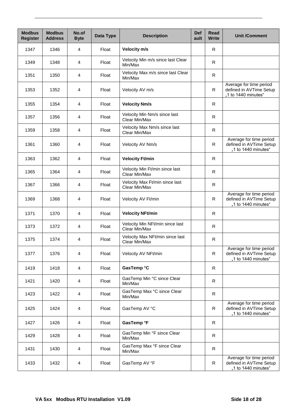| <b>Modbus</b><br><b>Register</b> | <b>Modbus</b><br><b>Address</b> | No.of<br><b>Byte</b> | Data Type | <b>Description</b>                               | <b>Def</b><br>ault | <b>Read</b><br><b>Write</b> | <b>Unit /Comment</b>                                                      |
|----------------------------------|---------------------------------|----------------------|-----------|--------------------------------------------------|--------------------|-----------------------------|---------------------------------------------------------------------------|
| 1347                             | 1346                            | 4                    | Float     | Velocity m/s                                     |                    | R.                          |                                                                           |
| 1349                             | 1348                            | 4                    | Float     | Velocity Min m/s since last Clear<br>Min/Max     |                    | ${\sf R}$                   |                                                                           |
| 1351                             | 1350                            | 4                    | Float     | Velocity Max m/s since last Clear<br>Min/Max     |                    | R.                          |                                                                           |
| 1353                             | 1352                            | 4                    | Float     | Velocity AV m/s                                  |                    | R                           | Average for time period<br>defined in AVTime Setup<br>"1 to 1440 minutes" |
| 1355                             | 1354                            | 4                    | Float     | <b>Velocity Nm/s</b>                             |                    | R                           |                                                                           |
| 1357                             | 1356                            | 4                    | Float     | Velocity Min Nm/s since last<br>Clear Min/Max    |                    | R                           |                                                                           |
| 1359                             | 1358                            | 4                    | Float     | Velocity Max Nm/s since last<br>Clear Min/Max    |                    | R                           |                                                                           |
| 1361                             | 1360                            | 4                    | Float     | Velocity AV Nm/s                                 |                    | R                           | Average for time period<br>defined in AVTime Setup<br>"1 to 1440 minutes" |
| 1363                             | 1362                            | 4                    | Float     | <b>Velocity Ft/min</b>                           |                    | R                           |                                                                           |
| 1365                             | 1364                            | 4                    | Float     | Velocity Min Ft/min since last<br>Clear Min/Max  |                    |                             |                                                                           |
| 1367                             | 1366                            | 4                    | Float     | Velocity Max Ft/min since last<br>Clear Min/Max  |                    | $\mathsf{R}$                |                                                                           |
| 1369                             | 1368                            | 4                    | Float     | Velocity AV Ft/min                               | R                  |                             | Average for time period<br>defined in AVTime Setup<br>"1 to 1440 minutes" |
| 1371                             | 1370                            | 4                    | Float     | <b>Velocity NFt/min</b>                          |                    | R                           |                                                                           |
| 1373                             | 1372                            | 4                    | Float     | Velocity Min NFt/min since last<br>Clear Min/Max |                    | $\mathsf{R}$                |                                                                           |
| 1375                             | 1374                            | 4                    | Float     | Velocity Max NFt/min since last<br>Clear Min/Max |                    | R                           |                                                                           |
| 1377                             | 1376                            | 4                    | Float     | Velocity AV NFt/min                              |                    | $\mathsf{R}$                | Average for time period<br>defined in AVTime Setup<br>"1 to 1440 minutes" |
| 1419                             | 1418                            | 4                    | Float     | GasTemp °C                                       |                    | $\mathsf{R}$                |                                                                           |
| 1421                             | 1420                            | 4                    | Float     | GasTemp Min °C since Clear<br>Min/Max            |                    | $\mathsf{R}$                |                                                                           |
| 1423                             | 1422                            | 4                    | Float     | GasTemp Max °C since Clear<br>Min/Max            |                    | $\mathsf{R}$                |                                                                           |
| 1425                             | 1424                            | 4                    | Float     | GasTemp AV °C                                    |                    | R                           | Average for time period<br>defined in AVTime Setup<br>"1 to 1440 minutes" |
| 1427                             | 1426                            | 4                    | Float     | GasTemp °F                                       |                    | $\mathsf{R}$                |                                                                           |
| 1429                             | 1428                            | 4                    | Float     | GasTemp Min °F since Clear<br>Min/Max            |                    | R                           |                                                                           |
| 1431                             | 1430                            | 4                    | Float     | GasTemp Max °F since Clear<br>Min/Max            |                    | R.                          |                                                                           |
| 1433                             | 1432                            | 4                    | Float     | GasTemp AV °F                                    |                    | $\mathsf{R}$                | Average for time period<br>defined in AVTime Setup<br>"1 to 1440 minutes" |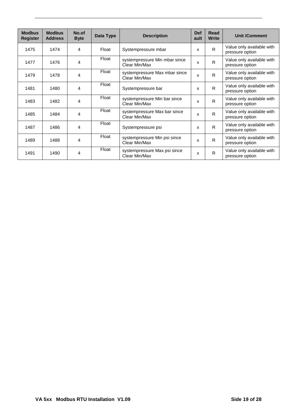| <b>Modbus</b>   | <b>Modbus</b>  | No.of       | Data Type | <b>Description</b>                             | <b>Def</b> | Read         | <b>Unit /Comment</b>                         |
|-----------------|----------------|-------------|-----------|------------------------------------------------|------------|--------------|----------------------------------------------|
| <b>Register</b> | <b>Address</b> | <b>Byte</b> |           |                                                | ault       | <b>Write</b> |                                              |
| 1475            | 1474           | 4           | Float     | Systempressure mbar                            |            | R            | Value only available with<br>pressure option |
| 1477            | 1476           | 4           | Float     | systempressure Min mbar since<br>Clear Min/Max | X          | R.           | Value only available with<br>pressure option |
| 1479            | 1478           | 4           | Float     | systempressure Max mbar since<br>Clear Min/Max |            | R            | Value only available with<br>pressure option |
| 1481            | 1480           | 4           | Float     | Systempressure bar                             |            | R            | Value only available with<br>pressure option |
| 1483            | 1482           | 4           | Float     | systempressure Min bar since<br>Clear Min/Max  |            | R.           | Value only available with<br>pressure option |
| 1485            | 1484           | 4           | Float     | systempressure Max bar since<br>Clear Min/Max  | X          | R            | Value only available with<br>pressure option |
| 1487            | 1486           | 4           | Float     | Systempressure psi                             | X          | R.           | Value only available with<br>pressure option |
| 1489            | 1488           | 4           | Float     | systempressure Min psi since<br>Clear Min/Max  | x          | R            | Value only available with<br>pressure option |
| 1491            | 1490           | 4           | Float     | systempressure Max psi since<br>Clear Min/Max  | X          | $\mathsf{R}$ | Value only available with<br>pressure option |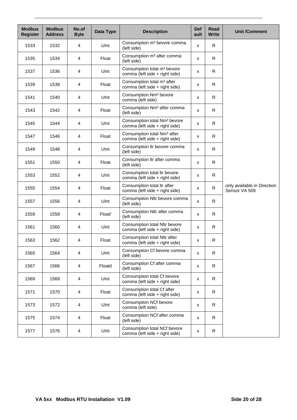| <b>Modbus</b><br><b>Register</b> | <b>Modbus</b><br><b>Address</b> | No.of<br><b>Byte</b> | Data Type | <b>Description</b>                                                         | <b>Def</b><br>ault | Read<br><b>Write</b> | <b>Unit /Comment</b>                         |
|----------------------------------|---------------------------------|----------------------|-----------|----------------------------------------------------------------------------|--------------------|----------------------|----------------------------------------------|
| 1533                             | 1532                            | $\overline{4}$       | Ulnt      | Consumption m <sup>3</sup> bevore comma<br>(left side)                     | X                  | R                    |                                              |
| 1535                             | 1534                            | 4                    | Float     | Consumption m <sup>3</sup> after comma<br>(left side)                      | x                  | R                    |                                              |
| 1537                             | 1536                            | 4                    | Ulnt      | Consumption total m <sup>3</sup> bevore<br>comma (left side + right side)  | x                  | R                    |                                              |
| 1539                             | 1538                            | 4                    | Float     | Consumption total m <sup>3</sup> after<br>comma (left side + right side)   | x                  | R                    |                                              |
| 1541                             | 1540                            | 4                    | Ulnt      | Consumption Nm <sup>3</sup> bevore<br>comma (left side)                    | x                  | R                    |                                              |
| 1543                             | 1542                            | $\overline{4}$       | Float     | Consumption Nm <sup>3</sup> after comma<br>(left side)                     | X                  | R                    |                                              |
| 1545                             | 1544                            | 4                    | Ulnt      | Consumption total Nm <sup>3</sup> bevore<br>comma (left side + right side) | x                  | R                    |                                              |
| 1547                             | 1546                            | 4                    | Float     | Consumption total Nm <sup>3</sup> after<br>comma (left side + right side)  | x                  | R                    |                                              |
| 1549                             | 1548                            | 4                    | Ulnt      | Consumption Itr bevore comma<br>(left side)                                | X                  | R.                   |                                              |
| 1551                             | 1550                            | 4                    | Float     | Consumption Itr after comma<br>(left side)                                 | x                  | R                    |                                              |
| 1553                             | 1552                            | $\overline{4}$       | Ulnt      | Consumption total Itr bevore<br>comma (left side + right side)             | x                  | R                    |                                              |
| 1555                             | 1554                            | 4                    | Float     | Consumption total Itr after<br>comma (left side + right side)              | X                  | $\mathsf{R}$         | only available in Direction<br>Sensor VA 509 |
| 1557                             | 1556                            | 4                    | Ulnt      | Consumption Nltr bevore comma<br>(left side)                               | x                  | R                    |                                              |
| 1559                             | 1558                            | 4                    | Float/    | Consumption Nltr after comma<br>(left side)                                | x                  | R.                   |                                              |
| 1561                             | 1560                            | 4                    | Ulnt      | Consumption total Nltr bevore<br>comma (left side + right side)            | x                  | R                    |                                              |
| 1563                             | 1562                            | 4                    | Float     | Consumption total Nltr after<br>comma (left side + right side)             | x                  | R                    |                                              |
| 1565                             | 1564                            | 4                    | Ulnt      | Consumption Cf bevore comma<br>(left side)                                 | X                  | R                    |                                              |
| 1567                             | 1566                            | 4                    | Floatd    | Consumption Cf after comma<br>(left side)                                  | $\pmb{\mathsf{X}}$ | R                    |                                              |
| 1569                             | 1568                            | 4                    | Ulnt      | Consumption total Cf bevore<br>comma (left side + right side)              | X                  | R                    |                                              |
| 1571                             | 1570                            | 4                    | Float     | Consumption total Cf after<br>comma (left side + right side)               | x                  | R                    |                                              |
| 1573                             | 1572                            | 4                    | Ulnt      | <b>Consumption NCf bevore</b><br>comma (left side)                         | X                  | R                    |                                              |
| 1575                             | 1574                            | 4                    | Float     | Consumption NCf after comma<br>(left side)                                 | x                  | R                    |                                              |
| 1577                             | 1576                            | 4                    | Ulnt      | Consumption total NCf bevore<br>comma (left side + right side)             | x                  | R                    |                                              |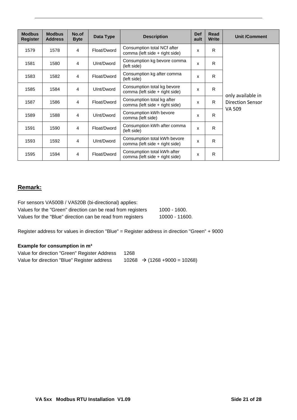| <b>Modbus</b><br><b>Register</b> | <b>Modbus</b><br><b>Address</b> | No.of<br><b>Byte</b> | Data Type   | <b>Description</b>                                             | <b>Def</b><br>ault | Read<br><b>Write</b> | <b>Unit /Comment</b>                         |
|----------------------------------|---------------------------------|----------------------|-------------|----------------------------------------------------------------|--------------------|----------------------|----------------------------------------------|
| 1579                             | 1578                            | 4                    | Float/Dword | Consumption total NCf after<br>comma (left side + right side)  | $\mathbf{x}$       | R                    |                                              |
| 1581                             | 1580                            | 4                    | UInt/Dword  | Consumption kg bevore comma<br>(left side)                     | X                  | R                    |                                              |
| 1583                             | 1582                            | 4                    | Float/Dword | Consumption kg after comma<br>(left side)                      | X                  | R                    |                                              |
| 1585                             | 1584                            | 4                    | UInt/Dword  | Consumption total kg bevore<br>comma (left side + right side)  | X                  | R                    |                                              |
| 1587                             | 1586                            | $\overline{4}$       | Float/Dword | Consumption total kg after<br>comma (left side + right side)   | X                  | R.                   | only available in<br><b>Direction Sensor</b> |
| 1589                             | 1588                            | 4                    | UInt/Dword  | Consumption kWh bevore<br>comma (left side)                    | X                  | R.                   | VA 509                                       |
| 1591                             | 1590                            | 4                    | Float/Dword | Consumption kWh after comma<br>(left side)                     | X                  | R                    |                                              |
| 1593                             | 1592                            | 4                    | UInt/Dword  | Consumption total kWh bevore<br>comma (left side + right side) | X                  | R                    |                                              |
| 1595                             | 1594                            | $\overline{4}$       | Float/Dword | Consumption total kWh after<br>comma (left side + right side)  | X                  | R                    |                                              |

## **Remark:**

| For sensors VA500B / VA520B (bi-directional) applies:       |                |
|-------------------------------------------------------------|----------------|
| Values for the "Green" direction can be read from registers | 1000 - 1600.   |
| Values for the "Blue" direction can be read from registers  | 10000 - 11600. |

Register address for values in direction "Blue" = Register address in direction "Green" + 9000

### **Example for consumption in m³**

| Value for direction "Green" Register Address | 1268                                      |
|----------------------------------------------|-------------------------------------------|
| Value for direction "Blue" Register address  | $10268 \rightarrow (1268 + 9000 = 10268)$ |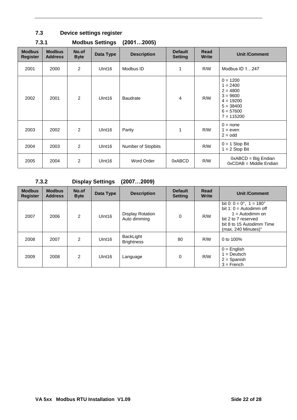# <span id="page-21-0"></span>**7.3 Device settings register**

| <b>Modbus</b><br><b>Register</b> | <b>Modbus</b><br><b>Address</b> | No.of<br><b>Byte</b> | Data Type          | <b>Description</b>        | <b>Default</b><br><b>Setting</b> | Read<br><b>Write</b> | <b>Unit /Comment</b>                                                                                              |
|----------------------------------|---------------------------------|----------------------|--------------------|---------------------------|----------------------------------|----------------------|-------------------------------------------------------------------------------------------------------------------|
| 2001                             | 2000                            | $\overline{2}$       | U <sub>Int16</sub> | Modbus ID                 | $\mathbf{1}$                     | R/W                  | Modbus ID $1247$                                                                                                  |
| 2002                             | 2001                            | $\overline{2}$       | UInt16             | <b>Baudrate</b>           | $\overline{4}$                   | R/W                  | $0 = 1200$<br>$1 = 2400$<br>$2 = 4800$<br>$3 = 9600$<br>$4 = 19200$<br>$5 = 38400$<br>$6 = 57600$<br>$7 = 115200$ |
| 2003                             | 2002                            | $\overline{2}$       | U <sub>Int16</sub> | Parity                    | 1                                | R/W                  | $0 = none$<br>$1 = even$<br>$2 =$ odd                                                                             |
| 2004                             | 2003                            | $\overline{2}$       | U <sub>Int16</sub> | <b>Number of Stopbits</b> |                                  | R/W                  | $0 = 1$ Stop Bit<br>$1 = 2$ Stop Bit                                                                              |
| 2005                             | 2004                            | $\overline{2}$       | U <sub>Int16</sub> | Word Order                | 0xABCD                           | R/W                  | $0xABCD = Big Endian$<br>0xCDAB = Middle Endian                                                                   |

# <span id="page-21-1"></span>**7.3.1 Modbus Settings (2001…2005)**

## <span id="page-21-2"></span>**7.3.2 Display Settings (2007…2009)**

| <b>Modbus</b><br><b>Register</b> | <b>Modbus</b><br><b>Address</b> | No.of<br><b>Byte</b> | Data Type          | <b>Description</b>                      | <b>Default</b><br><b>Setting</b> | <b>Read</b><br><b>Write</b> | <b>Unit /Comment</b>                                                                                                                                         |
|----------------------------------|---------------------------------|----------------------|--------------------|-----------------------------------------|----------------------------------|-----------------------------|--------------------------------------------------------------------------------------------------------------------------------------------------------------|
| 2007                             | 2006                            | 2                    | Ulnt <sub>16</sub> | <b>Display Rotation</b><br>Auto dimming | $\Omega$                         | R/W                         | bit 0: $0 = 0^\circ$ , 1 = 180°<br>bit 1: $0 =$ Autodimm off<br>$1 =$ Autodimm on<br>bit 2 to 7 reserved<br>bit 8 to 15 Autodimm Time<br>(max. 240 Minutes)" |
| 2008                             | 2007                            | 2                    | UInt16             | BackLight<br><b>Brightness</b>          | 80                               | R/W                         | 0 to 100%                                                                                                                                                    |
| 2009                             | 2008                            | 2                    | UInt16             | Language                                | $\Omega$                         | R/W                         | $0 =$ English<br>$1 = Deutsch$<br>$2 =$ Spanish<br>$3 =$ French                                                                                              |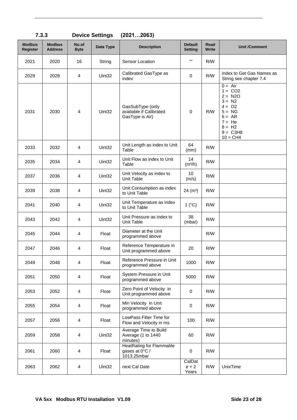| <b>Modbus</b><br><b>Register</b> | <b>Modbus</b><br><b>Address</b> | No.of<br><b>Byte</b>    | Data Type          | <b>Description</b>                                               | <b>Default</b><br><b>Setting</b> | Read<br>Write | <b>Unit /Comment</b>                                                                                                                    |
|----------------------------------|---------------------------------|-------------------------|--------------------|------------------------------------------------------------------|----------------------------------|---------------|-----------------------------------------------------------------------------------------------------------------------------------------|
| 2021                             | 2020                            | 16                      | String             | Sensor Location                                                  | $\mathbf{H}$                     | R/W           |                                                                                                                                         |
| 2029                             | 2028                            | 4                       | Uint <sub>32</sub> | Calibrated GasType as<br>index                                   | 0                                | R/W           | index to Get Gas Names as<br>String see chapter 7.4                                                                                     |
| 2031                             | 2030                            | 4                       | Uint32             | GasSubType (only<br>available if Calibrated<br>GasType is Air)   | 0                                | R/W           | $0 = Air$<br>$1 = CO2$<br>$2 = N2O$<br>$3 = N2$<br>$4 = 02$<br>$5 = NG$<br>$6 = AR$<br>$7 = He$<br>$8 = H2$<br>$9 = C3H8$<br>$10 = CH4$ |
| 2033                             | 2032                            | 4                       | Uint32             | Unit Length as index to Unit<br>Table                            | 64<br>(mm)                       | R/W           |                                                                                                                                         |
| 2035                             | 2034                            | 4                       | Uint32             | Unit Flow as index to Unit<br>Table                              | 14<br>(m <sup>3</sup> /h)        | R/W           |                                                                                                                                         |
| 2037                             | 2036                            | 4                       | Uint <sub>32</sub> | Unit Velocity as index to<br>Unit Table                          | 10<br>(m/s)                      | R/W           |                                                                                                                                         |
| 2039                             | 2038                            | $\overline{4}$          | Uint32             | Unit Consumption as index<br>to Unit Table                       | 24 (m <sup>3</sup> )             | R/W           |                                                                                                                                         |
| 2041                             | 2040                            | 4                       | Uint32             | Unit Temperature as index<br>to Unit Table                       | 1 $(^{\circ}C)$                  | R/W           |                                                                                                                                         |
| 2043                             | 2042                            | 4                       | Uint32             | Unit Pressure as index to<br>Unit Table                          | 38<br>(mbar)                     | R/W           |                                                                                                                                         |
| 2045                             | 2044                            | 4                       | Float              | Diameter at the Unit<br>programmed above                         |                                  | R/W           |                                                                                                                                         |
| 2047                             | 2046                            | 4                       | Float              | Reference Temperature in<br>Unit programmed above                | 20                               | R/W           |                                                                                                                                         |
| 2049                             | 2048                            | 4                       | Float              | Reference Pressure in Unit<br>programmed above                   | 1000                             | R/M           |                                                                                                                                         |
| 2051                             | 2050                            | 4                       | Float              | System Pressure in Unit<br>programmed above                      | 5000                             | R/W           |                                                                                                                                         |
| 2053                             | 2052                            | 4                       | Float              | Zero Point of Velocity in<br>Unit programmed above               | 0                                | R/W           |                                                                                                                                         |
| 2055                             | 2054                            | 4                       | Float              | Min Velocity in Unit<br>programmed above                         | 0                                | R/W           |                                                                                                                                         |
| 2057                             | 2056                            | 4                       | Float              | LowPass Filter Time for<br>Flow and Velocity in ms               | 100                              | R/W           |                                                                                                                                         |
| 2059                             | 2058                            | 4                       | Uint32             | Average Time to Build<br>Average (1 to 1440<br>minutes)          | 60                               | R/W           |                                                                                                                                         |
| 2061                             | 2060                            | 4                       | Float              | <b>HeatRating for Flammable</b><br>gases at 0°C /<br>1013.25mbar | 0                                | R/W           |                                                                                                                                         |
| 2063                             | 2062                            | $\overline{\mathbf{4}}$ | Uint32             | next Cal Date                                                    | CalDat<br>$e + 2$<br>Years       | R/M           | UnixTime                                                                                                                                |

<span id="page-22-0"></span>**7.3.3 Device Settings (2021…2063)**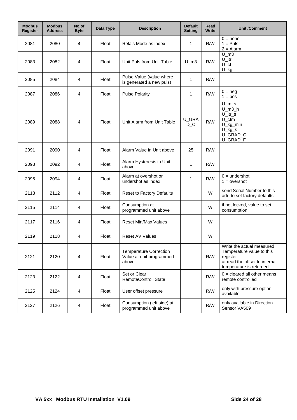| <b>Modbus</b><br><b>Register</b> | <b>Modbus</b><br><b>Address</b> | No.of<br><b>Byte</b> | Data Type | <b>Description</b>                                                 | <b>Default</b><br><b>Setting</b> | Read<br>Write | <b>Unit /Comment</b>                                                                                                            |
|----------------------------------|---------------------------------|----------------------|-----------|--------------------------------------------------------------------|----------------------------------|---------------|---------------------------------------------------------------------------------------------------------------------------------|
| 2081                             | 2080                            | 4                    | Float     | Relais Mode as index                                               | 1                                | R/W           | $0 = none$<br>$1 = Puls$<br>$2 =$ Alarm                                                                                         |
| 2083                             | 2082                            | 4                    | Float     | Unit Puls from Unit Table                                          | $U_{m3}$                         | R/W           | $U_{\text{m3}}$<br>$U$ _ltr<br>$U_{\_}cf$<br>$U_k$                                                                              |
| 2085                             | 2084                            | 4                    | Float     | Pulse Value (value where<br>is generated a new puls)               | 1                                | R/W           |                                                                                                                                 |
| 2087                             | 2086                            | 4                    | Float     | <b>Pulse Polarity</b>                                              | 1                                | R/W           | $0 = neg$<br>$1 = pos$                                                                                                          |
| 2089                             | 2088                            | 4                    | Float     | Unit Alarm from Unit Table                                         | U_GRA<br>$D_C$                   | R/W           | $U_{m,s}$<br>$U$ m3 h<br>U_ltr_s<br>$U_{cm}$<br>U_kg_min<br>$U_kg_s$<br>U_GRAD_C<br>U_GRAD_F                                    |
| 2091                             | 2090                            | 4                    | Float     | Alarm Value in Unit above                                          | 25                               | R/W           |                                                                                                                                 |
| 2093                             | 2092                            | 4                    | Float     | Alarm Hysteresis in Unit<br>above                                  | 1                                | R/W           |                                                                                                                                 |
| 2095                             | 2094                            | 4                    | Float     | Alarm at overshot or<br>undershot as index                         | 1                                | R/W           | $0 =$ undershot<br>$1 =$ overshot                                                                                               |
| 2113                             | 2112                            | 4                    | Float     | Reset to Factory Defaults                                          |                                  | W             | send Serial Number to this<br>adr. to set factory defaults                                                                      |
| 2115                             | 2114                            | 4                    | Float     | Consumption at<br>programmed unit above                            |                                  | W             | if not locked, value to set<br>consumption                                                                                      |
| 2117                             | 2116                            | 4                    | Float     | <b>Reset Min/Max Values</b>                                        |                                  | W             |                                                                                                                                 |
| 2119                             | 2118                            | 4                    | Float     | <b>Reset AV Values</b>                                             |                                  | W             |                                                                                                                                 |
| 2121                             | 2120                            | 4                    | Float     | <b>Temperature Correction</b><br>Value at unit programmed<br>above |                                  | R/W           | Write the actual measured<br>Temperature value to this<br>register<br>at read the offset to internal<br>temperature is returned |
| 2123                             | 2122                            | 4                    | Float     | Set or Clear<br><b>RemoteControll State</b>                        |                                  | R/W           | $0 =$ cleared all other means<br>remote controlled                                                                              |
| 2125                             | 2124                            | 4                    | Float     | User offset pressure                                               |                                  | R/W           | only with pressure option<br>available                                                                                          |
| 2127                             | 2126                            | 4                    | Float     | Consumption (left side) at<br>programmed unit above                |                                  | R/W           | only available in Direction<br>Sensor VA509                                                                                     |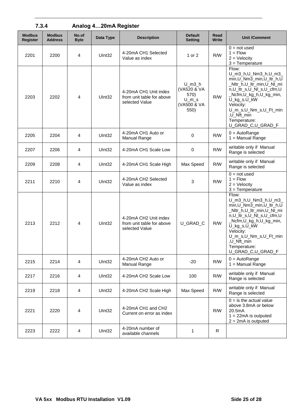| 7.3.4                            |                                 | Analog 420mA Register |                    |                                                                                                                                                             |                                  |                                                                                                                                                                                                                                               |                                                                                                                                                                                                                                                            |  |
|----------------------------------|---------------------------------|-----------------------|--------------------|-------------------------------------------------------------------------------------------------------------------------------------------------------------|----------------------------------|-----------------------------------------------------------------------------------------------------------------------------------------------------------------------------------------------------------------------------------------------|------------------------------------------------------------------------------------------------------------------------------------------------------------------------------------------------------------------------------------------------------------|--|
| <b>Modbus</b><br><b>Register</b> | <b>Modbus</b><br><b>Address</b> | No.of<br><b>Byte</b>  | Data Type          | <b>Description</b>                                                                                                                                          | <b>Default</b><br><b>Setting</b> | Read<br><b>Write</b>                                                                                                                                                                                                                          | <b>Unit /Comment</b>                                                                                                                                                                                                                                       |  |
| 2201                             | 2200                            | 4                     | Ulnt32             | 4-20mA CH1 Selected<br>Value as index                                                                                                                       | 1 or 2                           | R/W                                                                                                                                                                                                                                           | $0 = not used$<br>$1 =$ Flow<br>$2 =$ Velocity<br>$3 = Temperature$                                                                                                                                                                                        |  |
| 2203                             | 2202                            | 4                     | Ulnt32             | Flow:<br>$U_{m3}$<br>(VA520 & VA<br>4-20mA CH1 Unit index<br>570)<br>R/W<br>from unit table for above<br>$U_{m}$ s<br>selected Value<br>(VA500 & VA<br>550) |                                  | U_m3_h,U_Nm3_h,U_m3_<br>min, U_Nm3_min, U_ltr_h, U<br>_Nltr_h,U_ltr_min,U_Nl_mi<br>n,U_ltr_s,U_NI_s,U_cfm,U<br>_Ncfm,U_kg_h,U_kg_min,<br>U_kg_s,U_kW<br>Velocity:<br>U_m_s,U_Nm_s,U_Ft_min<br>,U_Nft_min<br>Temperature:<br>U_GRAD_C,U_GRAD_F |                                                                                                                                                                                                                                                            |  |
| 2205                             | 2204                            | 4                     | Ulnt32             | 4-20mA CH1 Auto or<br><b>Manual Range</b>                                                                                                                   | 0                                | R/W                                                                                                                                                                                                                                           | $0 = AutoRange$<br>$1 =$ Manual Range                                                                                                                                                                                                                      |  |
| 2207                             | 2206                            | 4                     | Ulnt32             | 4-20mA CH1 Scale Low                                                                                                                                        | 0                                | R/W                                                                                                                                                                                                                                           | writable only if Manual<br>Range is selected                                                                                                                                                                                                               |  |
| 2209                             | 2208                            | 4                     | Ulnt <sub>32</sub> | 4-20mA CH1 Scale High                                                                                                                                       | Max Speed                        | R/W                                                                                                                                                                                                                                           | writable only if Manual<br>Range is selected                                                                                                                                                                                                               |  |
| 2211                             | 2210                            | 4                     | UInt32             | 4-20mA CH2 Selected<br>Value as index                                                                                                                       | 3                                | R/W                                                                                                                                                                                                                                           | $0 = not used$<br>$1 = Flow$<br>$2 =$ Velocity<br>$3 = Temperature$                                                                                                                                                                                        |  |
| 2213                             | 2212                            | 4                     | Ulnt <sub>32</sub> | 4-20mA CH2 Unit index<br>from unit table for above<br>selected Value                                                                                        | U_GRAD_C                         | R/W                                                                                                                                                                                                                                           | Flow:<br>U_m3_h,U_Nm3_h,U_m3_<br>min, U_Nm3_min, U_ltr_h, U<br>_Nltr_h,U_ltr_min,U_Nl_mi<br>n, U_ltr_s, U_NI_s, U_cfm, U<br>_Ncfm,U_kg_h,U_kg_min,<br>U_kg_s,U_kW<br>Velocity:<br>U_m_s,U_Nm_s,U_Ft_min<br>,U_Nft_min<br>Temperature:<br>U_GRAD_C,U_GRAD_F |  |
| 2215                             | 2214                            | 4                     | Ulnt32             | 4-20mA CH2 Auto or<br>Manual Range                                                                                                                          | $-20$                            | R/W                                                                                                                                                                                                                                           | $0 = AutoRange$<br>$1 =$ Manual Range                                                                                                                                                                                                                      |  |
| 2217                             | 2216                            | 4                     | Ulnt32             | 4-20mA CH2 Scale Low                                                                                                                                        | 100                              | R/W                                                                                                                                                                                                                                           | writable only if Manual<br>Range is selected                                                                                                                                                                                                               |  |
| 2219                             | 2218                            | 4                     | Ulnt32             | 4-20mA CH2 Scale High                                                                                                                                       | Max Speed                        | R/W                                                                                                                                                                                                                                           | writable only if Manual<br>Range is selected                                                                                                                                                                                                               |  |
| 2221                             | 2220                            | 4                     | UInt32             | 4-20mA CH1 and CH2<br>Current on error as index                                                                                                             |                                  | R/W                                                                                                                                                                                                                                           | $0 =$ is the actual value<br>above 3.8mA or below<br>20.5mA<br>$1 = 22 \text{mA}$ is outputed<br>$2 = 2mA$ is outputed                                                                                                                                     |  |
| 2223                             | 2222                            | 4                     | UInt32             | 4-20mA number of<br>available channels                                                                                                                      | 1                                | R                                                                                                                                                                                                                                             |                                                                                                                                                                                                                                                            |  |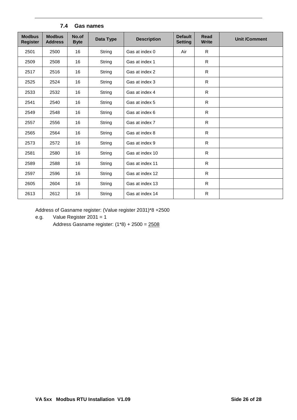<span id="page-25-0"></span>

| <b>Modbus</b><br><b>Register</b> | <b>Modbus</b><br><b>Address</b> | No.of<br><b>Byte</b> | Data Type | <b>Description</b> | <b>Default</b><br><b>Setting</b> | <b>Read</b><br><b>Write</b> | <b>Unit /Comment</b> |  |  |
|----------------------------------|---------------------------------|----------------------|-----------|--------------------|----------------------------------|-----------------------------|----------------------|--|--|
| 2501                             | 2500                            | 16                   | String    | Gas at index 0     | Air                              | R.                          |                      |  |  |
| 2509                             | 2508                            | 16                   | String    | Gas at index 1     |                                  | $\mathsf{R}$                |                      |  |  |
| 2517                             | 2516                            | 16                   | String    | Gas at index 2     |                                  | $\mathsf{R}$                |                      |  |  |
| 2525                             | 2524                            | 16                   | String    | Gas at index 3     |                                  | $\mathsf{R}$                |                      |  |  |
| 2533                             | 2532                            | 16                   | String    | Gas at index 4     |                                  | $\mathsf{R}$                |                      |  |  |
| 2541                             | 2540                            | 16                   | String    | Gas at index 5     |                                  | $\mathsf{R}$                |                      |  |  |
| 2549                             | 2548                            | 16                   | String    | Gas at index 6     |                                  | $\mathsf{R}$                |                      |  |  |
| 2557                             | 2556                            | 16                   | String    | Gas at index 7     |                                  | $\mathsf{R}$                |                      |  |  |
| 2565                             | 2564                            | 16                   | String    | Gas at index 8     |                                  | $\mathsf{R}$                |                      |  |  |
| 2573                             | 2572                            | 16                   | String    | Gas at index 9     |                                  | $\mathsf{R}$                |                      |  |  |
| 2581                             | 2580                            | 16                   | String    | Gas at index 10    |                                  | $\mathsf{R}$                |                      |  |  |
| 2589                             | 2588                            | 16                   | String    | Gas at index 11    |                                  | $\mathsf{R}$                |                      |  |  |
| 2597                             | 2596                            | 16                   | String    | Gas at index 12    |                                  | $\mathsf{R}$                |                      |  |  |
| 2605                             | 2604                            | 16                   | String    | Gas at index 13    |                                  | $\mathsf{R}$                |                      |  |  |
| 2613                             | 2612                            | 16                   | String    | Gas at index 14    |                                  | $\mathsf{R}$                |                      |  |  |

### **7.4 Gas names**

Address of Gasname register: (Value register 2031)\*8 +2500

e.g. Value Register 2031 = 1

Address Gasname register: (1\*8) + 2500 = 2508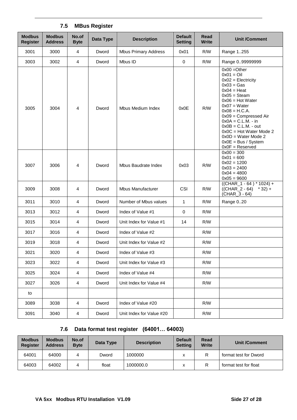<span id="page-26-0"></span>

| <b>Modbus</b><br><b>Register</b> | <b>Modbus</b><br><b>Address</b> | No.of<br><b>Byte</b> | Data Type | <b>Description</b>          | <b>Default</b><br><b>Setting</b> | Read<br><b>Write</b> | <b>Unit /Comment</b>                                                                                                                                                                                                                                                                                                                                 |
|----------------------------------|---------------------------------|----------------------|-----------|-----------------------------|----------------------------------|----------------------|------------------------------------------------------------------------------------------------------------------------------------------------------------------------------------------------------------------------------------------------------------------------------------------------------------------------------------------------------|
| 3001                             | 3000                            | 4                    | Dword     | <b>Mbus Primary Address</b> | 0x01                             | R/W                  | Range 1255                                                                                                                                                                                                                                                                                                                                           |
| 3003                             | 3002                            | $\overline{4}$       | Dword     | Mbus ID                     | $\pmb{0}$                        | R/M                  | Range 099999999                                                                                                                                                                                                                                                                                                                                      |
| 3005                             | 3004                            | 4                    | Dword     | Mbus Medium Index           | 0x0E                             | R/W                  | $0x00 = Other$<br>$0x01 = Oil$<br>$0x02 =$ Electricity<br>$0x03 = Gas$<br>$0x04 = Heat$<br>$0x05 = Steam$<br>$0x06$ = Hot Water<br>$0x07 = Water$<br>$0x08 = H.C.A.$<br>$0x09 =$ Compressed Air<br>$0x0A = C.L.M. - in$<br>$0x0B = C.L.M. - out$<br>$0x0C = Hot Water Mode 2$<br>$0x0D = Water Mode 2$<br>$0x0E = Bus / System$<br>$0x0F =$ Reserved |
| 3007                             | 3006                            | 4                    | Dword     | Mbus Baudrate Index         | 0x03                             | R/W                  | $0x00 = 300$<br>$0x01 = 600$<br>$0x02 = 1200$<br>$0x03 = 2400$<br>$0x04 = 4800$<br>$0x05 = 9600$                                                                                                                                                                                                                                                     |
| 3009                             | 3008                            | 4                    | Dword     | <b>Mbus Manufacturer</b>    | CSI                              | R/W                  | $((CHAR_1 - 64)^* 1024) +$<br>$((CHAR_2 - 64) * 32) +$<br>(CHAR_3 - 64)                                                                                                                                                                                                                                                                              |
| 3011                             | 3010                            | 4                    | Dword     | Number of Mbus values       | 1                                | R/W                  | Range 020                                                                                                                                                                                                                                                                                                                                            |
| 3013                             | 3012                            | 4                    | Dword     | Index of Value #1           | $\pmb{0}$                        | R/W                  |                                                                                                                                                                                                                                                                                                                                                      |
| 3015                             | 3014                            | 4                    | Dword     | Unit Index for Value #1     | 14                               | R/W                  |                                                                                                                                                                                                                                                                                                                                                      |
| 3017                             | 3016                            | 4                    | Dword     | Index of Value #2           |                                  | R/M                  |                                                                                                                                                                                                                                                                                                                                                      |
| 3019                             | 3018                            | 4                    | Dword     | Unit Index for Value #2     |                                  | R/W                  |                                                                                                                                                                                                                                                                                                                                                      |
| 3021                             | 3020                            | 4                    | Dword     | Index of Value #3           |                                  | R/W                  |                                                                                                                                                                                                                                                                                                                                                      |
| 3023                             | 3022                            | 4                    | Dword     | Unit Index for Value #3     |                                  | R/W                  |                                                                                                                                                                                                                                                                                                                                                      |
| 3025                             | 3024                            | 4                    | Dword     | Index of Value #4           |                                  | R/W                  |                                                                                                                                                                                                                                                                                                                                                      |
| 3027                             | 3026                            | 4                    | Dword     | Unit Index for Value #4     |                                  | R/W                  |                                                                                                                                                                                                                                                                                                                                                      |
| to                               |                                 |                      |           |                             |                                  |                      |                                                                                                                                                                                                                                                                                                                                                      |
| 3089                             | 3038                            | 4                    | Dword     | Index of Value #20          |                                  | R/W                  |                                                                                                                                                                                                                                                                                                                                                      |
| 3091                             | 3040                            | $\overline{4}$       | Dword     | Unit Index for Value #20    |                                  | R/W                  |                                                                                                                                                                                                                                                                                                                                                      |

# **7.5 MBus Register**

## **7.6 Data format test register (64001… 64003)**

<span id="page-26-1"></span>

| <b>Modbus</b><br><b>Register</b> | <b>Modbus</b><br><b>Address</b> | No.of<br><b>Byte</b> | Data Type | <b>Description</b> | <b>Default</b><br><b>Setting</b> | Read<br><b>Write</b> | Unit /Comment         |
|----------------------------------|---------------------------------|----------------------|-----------|--------------------|----------------------------------|----------------------|-----------------------|
| 64001                            | 64000                           |                      | Dword     | 1000000            | v                                |                      | format test for Dword |
| 64003                            | 64002                           |                      | float     | 1000000.0          | v                                |                      | format test for float |